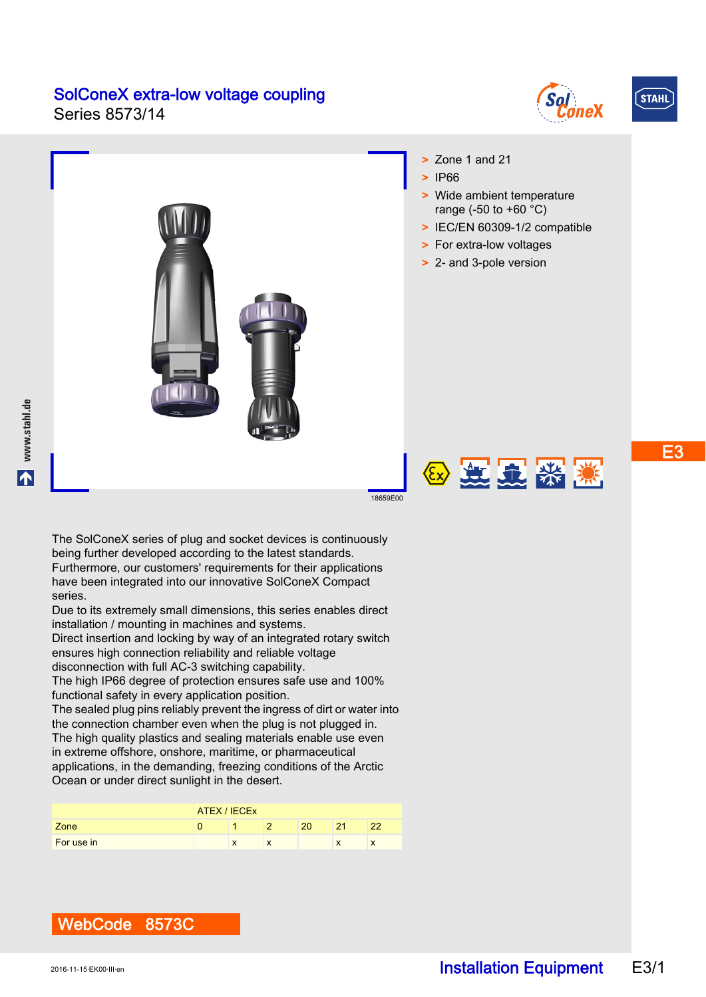Series 8573/14





E3



The SolConeX series of plug and socket devices is continuously being further developed according to the latest standards. Furthermore, our customers' requirements for their applications have been integrated into our innovative SolConeX Compact series.

Due to its extremely small dimensions, this series enables direct installation / mounting in machines and systems.

Direct insertion and locking by way of an integrated rotary switch ensures high connection reliability and reliable voltage disconnection with full AC-3 switching capability.

The high IP66 degree of protection ensures safe use and 100% functional safety in every application position.

The sealed plug pins reliably prevent the ingress of dirt or water into the connection chamber even when the plug is not plugged in. The high quality plastics and sealing materials enable use even in extreme offshore, onshore, maritime, or pharmaceutical applications, in the demanding, freezing conditions of the Arctic Ocean or under direct sunlight in the desert.

|            | ATEX / IECEX |  |  |    |    |    |  |
|------------|--------------|--|--|----|----|----|--|
| Zone       |              |  |  | 20 | 94 | າາ |  |
| For use in |              |  |  |    | л  | ᄉ  |  |



WebCode 8573C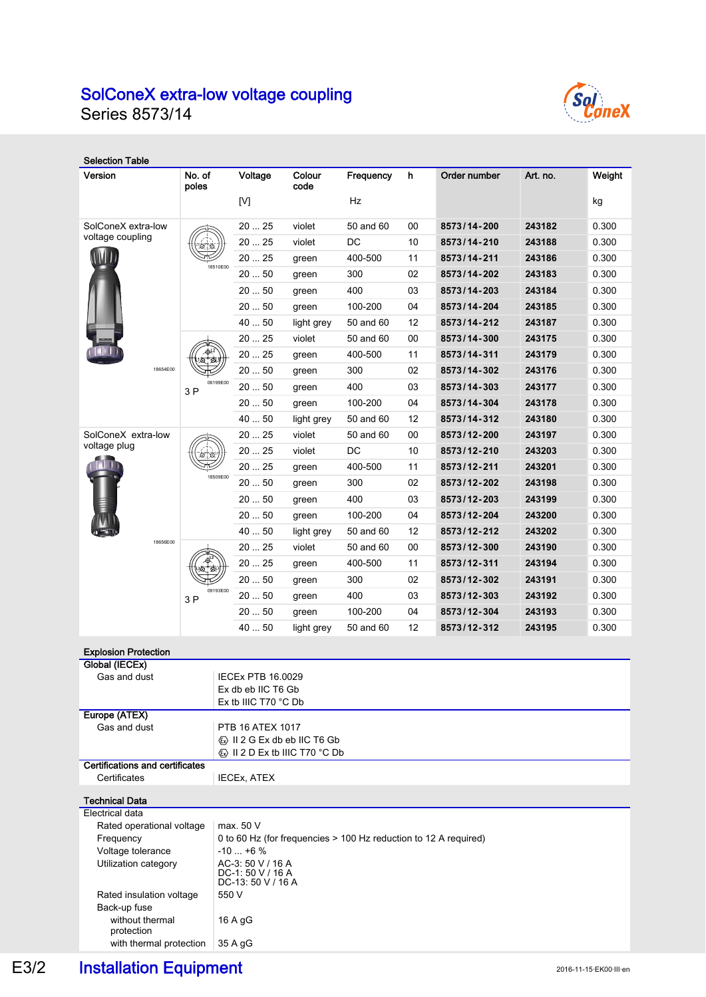Series 8573/14



| <b>Selection Table</b>                                 |                    |                                                                               |                                                            |           |    |              |          |        |  |  |
|--------------------------------------------------------|--------------------|-------------------------------------------------------------------------------|------------------------------------------------------------|-----------|----|--------------|----------|--------|--|--|
| Version                                                | No. of<br>poles    | Voltage                                                                       | Colour<br>code                                             | Frequency | h  | Order number | Art. no. | Weight |  |  |
|                                                        |                    | [V]                                                                           |                                                            | Hz        |    |              |          | kg     |  |  |
| SolConeX extra-low                                     |                    | 2025                                                                          | violet                                                     | 50 and 60 | 00 | 8573/14-200  | 243182   | 0.300  |  |  |
| voltage coupling                                       |                    | 2025                                                                          | violet                                                     | DC        | 10 | 8573/14-210  | 243188   | 0.300  |  |  |
|                                                        |                    | 20  25                                                                        | green                                                      | 400-500   | 11 | 8573/14-211  | 243186   | 0.300  |  |  |
|                                                        | 18510E00           | 2050                                                                          | green                                                      | 300       | 02 | 8573/14-202  | 243183   | 0.300  |  |  |
|                                                        |                    | 2050                                                                          | green                                                      | 400       | 03 | 8573/14-203  | 243184   | 0.300  |  |  |
|                                                        |                    | 2050                                                                          | green                                                      | 100-200   | 04 | 8573/14-204  | 243185   | 0.300  |  |  |
|                                                        |                    | 40  50                                                                        | light grey                                                 | 50 and 60 | 12 | 8573/14-212  | 243187   | 0.300  |  |  |
|                                                        |                    | 2025                                                                          | violet                                                     | 50 and 60 | 00 | 8573/14-300  | 243175   | 0.300  |  |  |
|                                                        |                    | 20  25                                                                        | green                                                      | 400-500   | 11 | 8573/14-311  | 243179   | 0.300  |  |  |
| 18654E00                                               |                    | 2050                                                                          | green                                                      | 300       | 02 | 8573/14-302  | 243176   | 0.300  |  |  |
|                                                        | 06199E00<br>3P     | 2050                                                                          | green                                                      | 400       | 03 | 8573/14-303  | 243177   | 0.300  |  |  |
|                                                        |                    | 2050                                                                          | green                                                      | 100-200   | 04 | 8573/14-304  | 243178   | 0.300  |  |  |
|                                                        |                    | 40  50                                                                        | light grey                                                 | 50 and 60 | 12 | 8573/14-312  | 243180   | 0.300  |  |  |
| SolConeX extra-low                                     |                    | 2025                                                                          | violet                                                     | 50 and 60 | 00 | 8573/12-200  | 243197   | 0.300  |  |  |
| voltage plug                                           |                    | 2025                                                                          | violet                                                     | DC        | 10 | 8573/12-210  | 243203   | 0.300  |  |  |
|                                                        |                    | 20  25                                                                        | green                                                      | 400-500   | 11 | 8573/12-211  | 243201   | 0.300  |  |  |
|                                                        | 18509E00           | 20  50                                                                        | green                                                      | 300       | 02 | 8573/12-202  | 243198   | 0.300  |  |  |
|                                                        |                    | 2050                                                                          | green                                                      | 400       | 03 | 8573/12-203  | 243199   | 0.300  |  |  |
|                                                        |                    | 2050                                                                          | green                                                      | 100-200   | 04 | 8573/12-204  | 243200   | 0.300  |  |  |
|                                                        |                    | 40  50                                                                        | light grey                                                 | 50 and 60 | 12 | 8573/12-212  | 243202   | 0.300  |  |  |
| 18656E00                                               |                    | 2025                                                                          | violet                                                     | 50 and 60 | 00 | 8573/12-300  | 243190   | 0.300  |  |  |
|                                                        |                    | 2025                                                                          | green                                                      | 400-500   | 11 | 8573/12-311  | 243194   | 0.300  |  |  |
|                                                        |                    | $20 \ldots 50$                                                                | green                                                      | 300       | 02 | 8573/12-302  | 243191   | 0.300  |  |  |
|                                                        | 09193E00<br>3 P    | 2050                                                                          | green                                                      | 400       | 03 | 8573/12-303  | 243192   | 0.300  |  |  |
|                                                        |                    | 2050                                                                          | green                                                      | 100-200   | 04 | 8573/12-304  | 243193   | 0.300  |  |  |
|                                                        |                    | 4050                                                                          | light grey                                                 | 50 and 60 | 12 | 8573/12-312  | 243195   | 0.300  |  |  |
|                                                        |                    |                                                                               |                                                            |           |    |              |          |        |  |  |
| <b>Explosion Protection</b><br>Global (IECEx)          |                    |                                                                               |                                                            |           |    |              |          |        |  |  |
| Gas and dust                                           |                    | <b>IECEx PTB 16.0029</b>                                                      |                                                            |           |    |              |          |        |  |  |
|                                                        |                    | Ex db eb IIC T6 Gb                                                            |                                                            |           |    |              |          |        |  |  |
| Europe (ATEX)                                          |                    | Ex tb IIIC T70 °C Db                                                          |                                                            |           |    |              |          |        |  |  |
| Gas and dust                                           |                    | PTB 16 ATEX 1017                                                              |                                                            |           |    |              |          |        |  |  |
|                                                        |                    | <b>«</b> » II 2 G Ex db eb IIC T6 Gb                                          |                                                            |           |    |              |          |        |  |  |
|                                                        |                    |                                                                               | $\langle \overline{x} \rangle$ II 2 D Ex tb IIIC T70 °C Db |           |    |              |          |        |  |  |
| <b>Certifications and certificates</b><br>Certificates | <b>IECEX, ATEX</b> |                                                                               |                                                            |           |    |              |          |        |  |  |
| <b>Technical Data</b>                                  |                    |                                                                               |                                                            |           |    |              |          |        |  |  |
| Electrical data                                        |                    |                                                                               |                                                            |           |    |              |          |        |  |  |
| Rated operational voltage<br>Frequency                 |                    | max. 50 V<br>0 to 60 Hz (for frequencies > 100 Hz reduction to 12 A required) |                                                            |           |    |              |          |        |  |  |
| Voltage tolerance                                      |                    | $-10+6%$                                                                      |                                                            |           |    |              |          |        |  |  |
| Utilization category                                   |                    | AC-3: 50 V / 16 A                                                             |                                                            |           |    |              |          |        |  |  |
|                                                        |                    | DC-1: 50 V / 16 A<br>DC-13: 50 V / 16 A                                       |                                                            |           |    |              |          |        |  |  |
| Rated insulation voltage                               |                    | 550 V                                                                         |                                                            |           |    |              |          |        |  |  |
| Back-up fuse<br>without thermal                        |                    | 16 A gG                                                                       |                                                            |           |    |              |          |        |  |  |
| protection<br>with thermal protection                  |                    | 35 A gG                                                                       |                                                            |           |    |              |          |        |  |  |

# E3/2 Installation Equipment 2016-11-15 EK00·III·en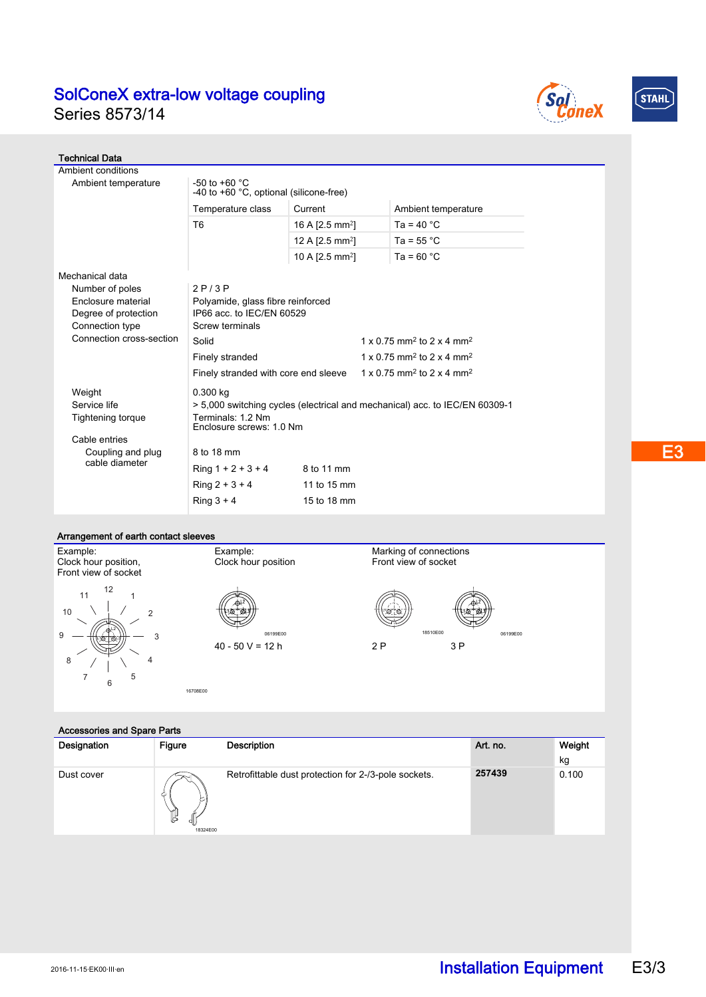





| <b>Technical Data</b>               |                                                                                                  |                                                   |                     |  |  |  |  |  |
|-------------------------------------|--------------------------------------------------------------------------------------------------|---------------------------------------------------|---------------------|--|--|--|--|--|
| Ambient conditions                  |                                                                                                  |                                                   |                     |  |  |  |  |  |
| Ambient temperature                 | -50 to +60 $^{\circ}$ C<br>-40 to +60 °C, optional (silicone-free)                               |                                                   |                     |  |  |  |  |  |
|                                     | Temperature class                                                                                | Current                                           | Ambient temperature |  |  |  |  |  |
|                                     | T <sub>6</sub>                                                                                   | 16 A $[2.5 \text{ mm}^2]$                         | Ta = $40 °C$        |  |  |  |  |  |
|                                     |                                                                                                  | 12 A [2.5 mm <sup>2</sup> ]                       | Ta = $55^{\circ}$ C |  |  |  |  |  |
|                                     |                                                                                                  | 10 A $[2.5$ mm <sup>2</sup> ]                     | Ta = $60 °C$        |  |  |  |  |  |
| Mechanical data                     |                                                                                                  |                                                   |                     |  |  |  |  |  |
| Number of poles                     | 2P/3P                                                                                            |                                                   |                     |  |  |  |  |  |
| Enclosure material                  | Polyamide, glass fibre reinforced                                                                |                                                   |                     |  |  |  |  |  |
| Degree of protection                | IP66 acc. to IEC/EN 60529                                                                        |                                                   |                     |  |  |  |  |  |
| Connection type                     | Screw terminals                                                                                  |                                                   |                     |  |  |  |  |  |
| Connection cross-section            | Solid                                                                                            | 1 x 0.75 mm <sup>2</sup> to 2 x 4 mm <sup>2</sup> |                     |  |  |  |  |  |
|                                     | $1 \times 0.75$ mm <sup>2</sup> to 2 x 4 mm <sup>2</sup><br>Finely stranded                      |                                                   |                     |  |  |  |  |  |
|                                     | $1 \times 0.75$ mm <sup>2</sup> to 2 x 4 mm <sup>2</sup><br>Finely stranded with core end sleeve |                                                   |                     |  |  |  |  |  |
| Weight                              | 0.300 kg                                                                                         |                                                   |                     |  |  |  |  |  |
| Service life                        | > 5,000 switching cycles (electrical and mechanical) acc. to IEC/EN 60309-1                      |                                                   |                     |  |  |  |  |  |
| Tightening torque                   | Terminals: 1.2 Nm<br>Enclosure screws: 1.0 Nm                                                    |                                                   |                     |  |  |  |  |  |
| Cable entries                       |                                                                                                  |                                                   |                     |  |  |  |  |  |
| Coupling and plug<br>cable diameter | 8 to 18 mm                                                                                       |                                                   |                     |  |  |  |  |  |
|                                     | Ring $1 + 2 + 3 + 4$                                                                             | 8 to 11 mm                                        |                     |  |  |  |  |  |
|                                     | $Ring 2 + 3 + 4$                                                                                 | 11 to 15 mm                                       |                     |  |  |  |  |  |
|                                     | $Ring 3 + 4$                                                                                     | 15 to 18 mm                                       |                     |  |  |  |  |  |

#### Arrangement of earth contact sleeves

Accessories and Spare Parts

16708E00



| Designation<br>Figure<br>Description<br>Art. no.                                                    | Weight |
|-----------------------------------------------------------------------------------------------------|--------|
|                                                                                                     | kg     |
| 257439<br>Retrofittable dust protection for 2-/3-pole sockets.<br>Dust cover<br>Ľ<br>dl<br>18324E00 | 0.100  |